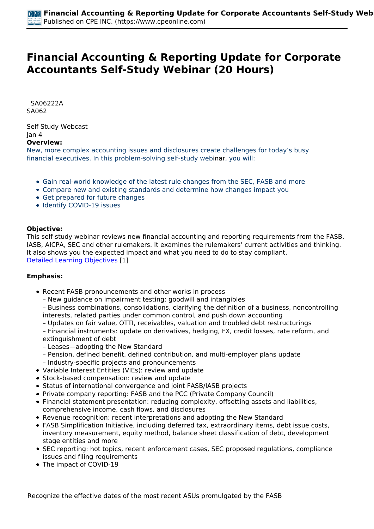# **Financial Accounting & Reporting Update for Corporate Accountants Self-Study Webinar (20 Hours)**

 *SA06222A SA062* 

*Self Study Webcast Jan 4*  **Overview:** 

*New, more complex accounting issues and disclosures create challenges for today's busy financial executives. In this problem-solving self-study webinar, you will:*

- *Gain real-world knowledge of the latest rule changes from the SEC, FASB and more*
- *Compare new and existing standards and determine how changes impact you*
- *Get prepared for future changes*
- *Identify COVID-19 issues*

## **Objective:**

*This self-study webinar reviews new financial accounting and reporting requirements from the FASB, IASB, AICPA, SEC and other rulemakers. It examines the rulemakers' current activities and thinking. It also shows you the expected impact and what you need to do to stay compliant. [Detailed Learning Objectives](https://www.cpeonline.com/JavaScript:showObjectivesPopup();) [1]*

#### **Emphasis:**

- *Recent FASB pronouncements and other works in process*
	- *New guidance on impairment testing: goodwill and intangibles*
	- *Business combinations, consolidations, clarifying the definition of a business, noncontrolling interests, related parties under common control, and push down accounting*
	- *Updates on fair value, OTTI, receivables, valuation and troubled debt restructurings*

*– Financial instruments: update on derivatives, hedging, FX, credit losses, rate reform, and extinguishment of debt*

- *Leases—adopting the New Standard*
- *Pension, defined benefit, defined contribution, and multi-employer plans update*
- *Industry-specific projects and pronouncements*
- *Variable Interest Entities (VIEs): review and update*
- *Stock-based compensation: review and update*
- *Status of international convergence and joint FASB/IASB projects*
- *Private company reporting: FASB and the PCC (Private Company Council)*
- *Financial statement presentation: reducing complexity, offsetting assets and liabilities, comprehensive income, cash flows, and disclosures*
- *Revenue recognition: recent interpretations and adopting the New Standard*
- *FASB Simplification Initiative, including deferred tax, extraordinary items, debt issue costs, inventory measurement, equity method, balance sheet classification of debt, development stage entities and more*
- *SEC reporting: hot topics, recent enforcement cases, SEC proposed regulations, compliance issues and filing requirements*
- *The impact of COVID-19*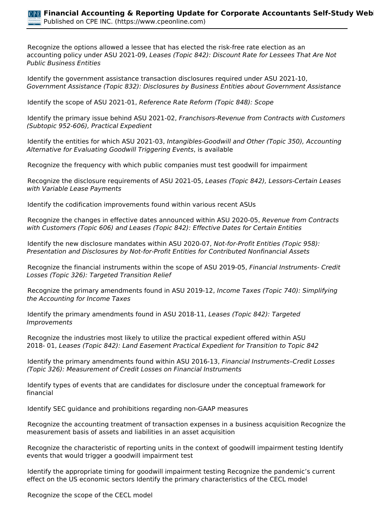*• Recognize the options allowed a lessee that has elected the risk-free rate election as an accounting policy under ASU 2021-09, Leases (Topic 842): Discount Rate for Lessees That Are Not Public Business Entities*

*• Identify the government assistance transaction disclosures required under ASU 2021-10, Government Assistance (Topic 832): Disclosures by Business Entities about Government Assistance*

*• Identify the scope of ASU 2021-01, Reference Rate Reform (Topic 848): Scope*

*• Identify the primary issue behind ASU 2021-02, Franchisors-Revenue from Contracts with Customers (Subtopic 952-606), Practical Expedient*

*• Identify the entities for which ASU 2021-03, Intangibles-Goodwill and Other (Topic 350), Accounting Alternative for Evaluating Goodwill Triggering Events, is available*

*• Recognize the frequency with which public companies must test goodwill for impairment*

*• Recognize the disclosure requirements of ASU 2021-05, Leases (Topic 842), Lessors-Certain Leases with Variable Lease Payments*

*• Identify the codification improvements found within various recent ASUs*

*• Recognize the changes in effective dates announced within ASU 2020-05, Revenue from Contracts with Customers (Topic 606) and Leases (Topic 842): Effective Dates for Certain Entities*

*• Identify the new disclosure mandates within ASU 2020-07, Not-for-Profit Entities (Topic 958): Presentation and Disclosures by Not-for-Profit Entities for Contributed Nonfinancial Assets*

*• Recognize the financial instruments within the scope of ASU 2019-05, Financial Instruments- Credit Losses (Topic 326): Targeted Transition Relief*

*• Recognize the primary amendments found in ASU 2019-12, Income Taxes (Topic 740): Simplifying the Accounting for Income Taxes*

*• Identify the primary amendments found in ASU 2018-11, Leases (Topic 842): Targeted Improvements*

*• Recognize the industries most likely to utilize the practical expedient offered within ASU 2018- 01, Leases (Topic 842): Land Easement Practical Expedient for Transition to Topic 842*

*• Identify the primary amendments found within ASU 2016-13, Financial Instruments–Credit Losses (Topic 326): Measurement of Credit Losses on Financial Instruments*

*• Identify types of events that are candidates for disclosure under the conceptual framework for financial*

*• Identify SEC guidance and prohibitions regarding non-GAAP measures*

*• Recognize the accounting treatment of transaction expenses in a business acquisition Recognize the measurement basis of assets and liabilities in an asset acquisition*

*• Recognize the characteristic of reporting units in the context of goodwill impairment testing Identify events that would trigger a goodwill impairment test*

*• Identify the appropriate timing for goodwill impairment testing Recognize the pandemic's current effect on the US economic sectors Identify the primary characteristics of the CECL model*

*• Recognize the scope of the CECL model*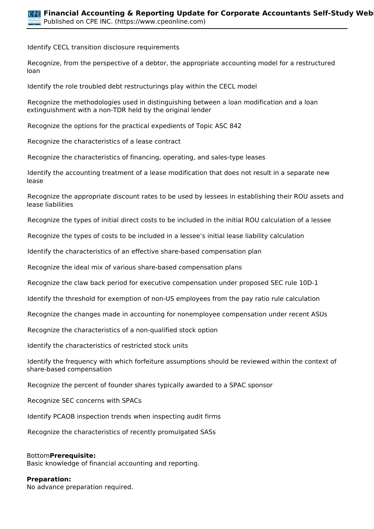*• Identify CECL transition disclosure requirements*

*• Recognize, from the perspective of a debtor, the appropriate accounting model for a restructured loan*

*• Identify the role troubled debt restructurings play within the CECL model*

*• Recognize the methodologies used in distinguishing between a loan modification and a loan extinguishment with a non-TDR held by the original lender*

*• Recognize the options for the practical expedients of Topic ASC 842*

*• Recognize the characteristics of a lease contract*

*• Recognize the characteristics of financing, operating, and sales-type leases*

*• Identify the accounting treatment of a lease modification that does not result in a separate new lease*

*• Recognize the appropriate discount rates to be used by lessees in establishing their ROU assets and lease liabilities*

*• Recognize the types of initial direct costs to be included in the initial ROU calculation of a lessee*

*• Recognize the types of costs to be included in a lessee's initial lease liability calculation*

*• Identify the characteristics of an effective share-based compensation plan*

*• Recognize the ideal mix of various share-based compensation plans*

*• Recognize the claw back period for executive compensation under proposed SEC rule 10D-1*

*• Identify the threshold for exemption of non-US employees from the pay ratio rule calculation*

*• Recognize the changes made in accounting for nonemployee compensation under recent ASUs*

*• Recognize the characteristics of a non-qualified stock option*

*• Identify the characteristics of restricted stock units*

*• Identify the frequency with which forfeiture assumptions should be reviewed within the context of share-based compensation*

*• Recognize the percent of founder shares typically awarded to a SPAC sponsor*

*• Recognize SEC concerns with SPACs*

*• Identify PCAOB inspection trends when inspecting audit firms*

*• Recognize the characteristics of recently promulgated SASs*

#### *Bottom***Prerequisite:**

*Basic knowledge of financial accounting and reporting.*

#### **Preparation:**

*No advance preparation required.*